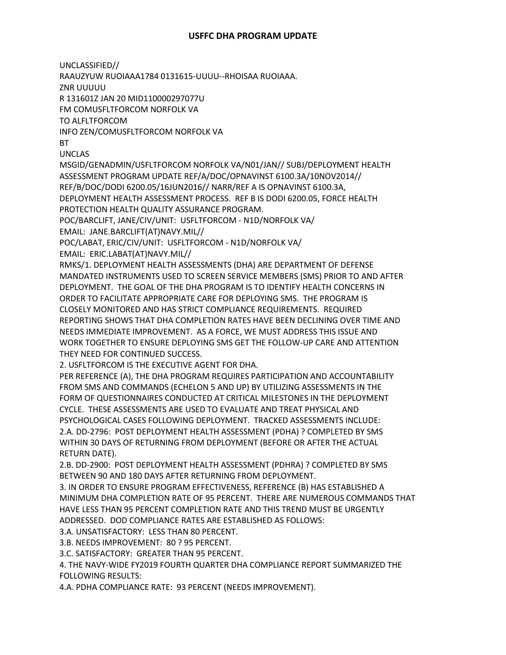## **USFFC DHA PROGRAM UPDATE**

UNCLASSIFIED// RAAUZYUW RUOIAAA1784 0131615-UUUU--RHOISAA RUOIAAA. ZNR UUUUU R 131601Z JAN 20 MID110000297077U FM COMUSFLTFORCOM NORFOLK VA TO ALFLTFORCOM INFO ZEN/COMUSFLTFORCOM NORFOLK VA **BT** UNCLAS MSGID/GENADMIN/USFLTFORCOM NORFOLK VA/N01/JAN// SUBJ/DEPLOYMENT HEALTH ASSESSMENT PROGRAM UPDATE REF/A/DOC/OPNAVINST 6100.3A/10NOV2014// REF/B/DOC/DODI 6200.05/16JUN2016// NARR/REF A IS OPNAVINST 6100.3A, DEPLOYMENT HEALTH ASSESSMENT PROCESS. REF B IS DODI 6200.05, FORCE HEALTH PROTECTION HEALTH QUALITY ASSURANCE PROGRAM. POC/BARCLIFT, JANE/CIV/UNIT: USFLTFORCOM - N1D/NORFOLK VA/ EMAIL: JANE.BARCLIFT(AT)NAVY.MIL// POC/LABAT, ERIC/CIV/UNIT: USFLTFORCOM - N1D/NORFOLK VA/ EMAIL: ERIC.LABAT(AT)NAVY.MIL// RMKS/1. DEPLOYMENT HEALTH ASSESSMENTS (DHA) ARE DEPARTMENT OF DEFENSE MANDATED INSTRUMENTS USED TO SCREEN SERVICE MEMBERS (SMS) PRIOR TO AND AFTER DEPLOYMENT. THE GOAL OF THE DHA PROGRAM IS TO IDENTIFY HEALTH CONCERNS IN ORDER TO FACILITATE APPROPRIATE CARE FOR DEPLOYING SMS. THE PROGRAM IS CLOSELY MONITORED AND HAS STRICT COMPLIANCE REQUIREMENTS. REQUIRED REPORTING SHOWS THAT DHA COMPLETION RATES HAVE BEEN DECLINING OVER TIME AND NEEDS IMMEDIATE IMPROVEMENT. AS A FORCE, WE MUST ADDRESS THIS ISSUE AND WORK TOGETHER TO ENSURE DEPLOYING SMS GET THE FOLLOW-UP CARE AND ATTENTION THEY NEED FOR CONTINUED SUCCESS. 2. USFLTFORCOM IS THE EXECUTIVE AGENT FOR DHA. PER REFERENCE (A), THE DHA PROGRAM REQUIRES PARTICIPATION AND ACCOUNTABILITY FROM SMS AND COMMANDS (ECHELON 5 AND UP) BY UTILIZING ASSESSMENTS IN THE FORM OF QUESTIONNAIRES CONDUCTED AT CRITICAL MILESTONES IN THE DEPLOYMENT CYCLE. THESE ASSESSMENTS ARE USED TO EVALUATE AND TREAT PHYSICAL AND PSYCHOLOGICAL CASES FOLLOWING DEPLOYMENT. TRACKED ASSESSMENTS INCLUDE: 2.A. DD-2796: POST DEPLOYMENT HEALTH ASSESSMENT (PDHA) ? COMPLETED BY SMS WITHIN 30 DAYS OF RETURNING FROM DEPLOYMENT (BEFORE OR AFTER THE ACTUAL RETURN DATE). 2.B. DD-2900: POST DEPLOYMENT HEALTH ASSESSMENT (PDHRA) ? COMPLETED BY SMS BETWEEN 90 AND 180 DAYS AFTER RETURNING FROM DEPLOYMENT. 3. IN ORDER TO ENSURE PROGRAM EFFECTIVENESS, REFERENCE (B) HAS ESTABLISHED A MINIMUM DHA COMPLETION RATE OF 95 PERCENT. THERE ARE NUMEROUS COMMANDS THAT HAVE LESS THAN 95 PERCENT COMPLETION RATE AND THIS TREND MUST BE URGENTLY

ADDRESSED. DOD COMPLIANCE RATES ARE ESTABLISHED AS FOLLOWS:

3.A. UNSATISFACTORY: LESS THAN 80 PERCENT.

3.B. NEEDS IMPROVEMENT: 80 ? 95 PERCENT.

3.C. SATISFACTORY: GREATER THAN 95 PERCENT.

4. THE NAVY-WIDE FY2019 FOURTH QUARTER DHA COMPLIANCE REPORT SUMMARIZED THE FOLLOWING RESULTS:

4.A. PDHA COMPLIANCE RATE: 93 PERCENT (NEEDS IMPROVEMENT).